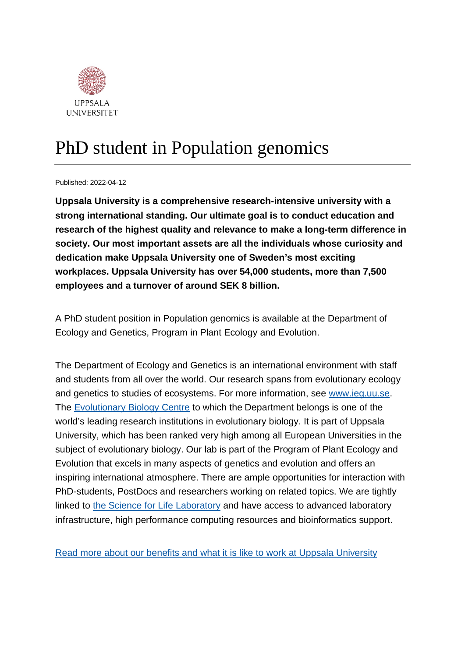

## PhD student in Population genomics

Published: 2022-04-12

**Uppsala University is a comprehensive research-intensive university with a strong international standing. Our ultimate goal is to conduct education and research of the highest quality and relevance to make a long-term difference in society. Our most important assets are all the individuals whose curiosity and dedication make Uppsala University one of Sweden's most exciting workplaces. Uppsala University has over 54,000 students, more than 7,500 employees and a turnover of around SEK 8 billion.**

A PhD student position in Population genomics is available at the Department of Ecology and Genetics, Program in Plant Ecology and Evolution.

The Department of Ecology and Genetics is an international environment with staff and students from all over the world. Our research spans from evolutionary ecology and genetics to studies of ecosystems. For more information, see [www.ieg.uu.se.](http://www.ieg.uu.se/) The [Evolutionary Biology Centre](http://www.ebc.uu.se/?languageId=1) to which the Department belongs is one of the world's leading research institutions in evolutionary biology. It is part of Uppsala University, which has been ranked very high among all European Universities in the subject of evolutionary biology. Our lab is part of the Program of Plant Ecology and Evolution that excels in many aspects of genetics and evolution and offers an inspiring international atmosphere. There are ample opportunities for interaction with PhD-students, PostDocs and researchers working on related topics. We are tightly linked to [the Science for Life Laboratory](https://www.scilifelab.se/) and have access to advanced laboratory infrastructure, high performance computing resources and bioinformatics support.

[Read more about our benefits and what it is like to work at Uppsala University](https://www.uu.se/en/about-uu/join-us/)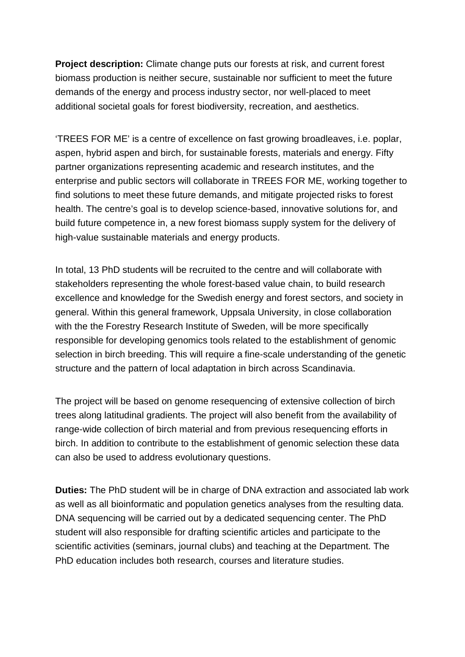**Project description:** Climate change puts our forests at risk, and current forest biomass production is neither secure, sustainable nor sufficient to meet the future demands of the energy and process industry sector, nor well-placed to meet additional societal goals for forest biodiversity, recreation, and aesthetics.

'TREES FOR ME' is a centre of excellence on fast growing broadleaves, i.e. poplar, aspen, hybrid aspen and birch, for sustainable forests, materials and energy. Fifty partner organizations representing academic and research institutes, and the enterprise and public sectors will collaborate in TREES FOR ME, working together to find solutions to meet these future demands, and mitigate projected risks to forest health. The centre's goal is to develop science-based, innovative solutions for, and build future competence in, a new forest biomass supply system for the delivery of high-value sustainable materials and energy products.

In total, 13 PhD students will be recruited to the centre and will collaborate with stakeholders representing the whole forest-based value chain, to build research excellence and knowledge for the Swedish energy and forest sectors, and society in general. Within this general framework, Uppsala University, in close collaboration with the the Forestry Research Institute of Sweden, will be more specifically responsible for developing genomics tools related to the establishment of genomic selection in birch breeding. This will require a fine-scale understanding of the genetic structure and the pattern of local adaptation in birch across Scandinavia.

The project will be based on genome resequencing of extensive collection of birch trees along latitudinal gradients. The project will also benefit from the availability of range-wide collection of birch material and from previous resequencing efforts in birch. In addition to contribute to the establishment of genomic selection these data can also be used to address evolutionary questions.

**Duties:** The PhD student will be in charge of DNA extraction and associated lab work as well as all bioinformatic and population genetics analyses from the resulting data. DNA sequencing will be carried out by a dedicated sequencing center. The PhD student will also responsible for drafting scientific articles and participate to the scientific activities (seminars, journal clubs) and teaching at the Department. The PhD education includes both research, courses and literature studies.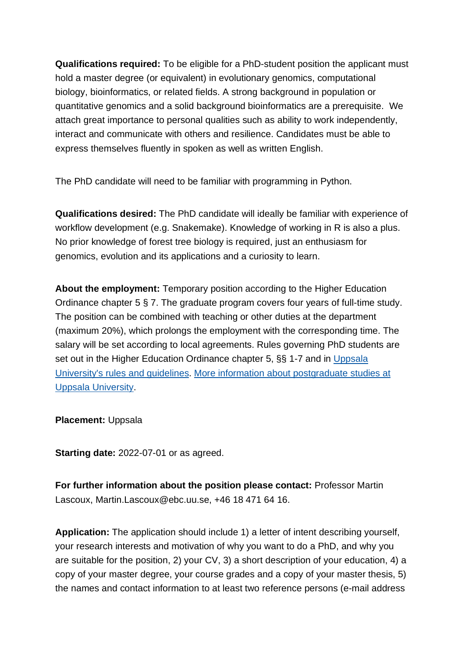**Qualifications required:** To be eligible for a PhD-student position the applicant must hold a master degree (or equivalent) in evolutionary genomics, computational biology, bioinformatics, or related fields. A strong background in population or quantitative genomics and a solid background bioinformatics are a prerequisite. We attach great importance to personal qualities such as ability to work independently, interact and communicate with others and resilience. Candidates must be able to express themselves fluently in spoken as well as written English.

The PhD candidate will need to be familiar with programming in Python.

**Qualifications desired:** The PhD candidate will ideally be familiar with experience of workflow development (e.g. Snakemake). Knowledge of working in R is also a plus. No prior knowledge of forest tree biology is required, just an enthusiasm for genomics, evolution and its applications and a curiosity to learn.

**About the employment:** Temporary position according to the Higher Education Ordinance chapter 5 § 7. The graduate program covers four years of full-time study. The position can be combined with teaching or other duties at the department (maximum 20%), which prolongs the employment with the corresponding time. The salary will be set according to local agreements. Rules governing PhD students are set out in the Higher Education Ordinance chapter 5, §§ 1-7 and in [Uppsala](https://regler.uu.se/?languageId=1)  [University's rules and guidelines.](https://regler.uu.se/?languageId=1) [More information about postgraduate studies at](http://www.teknat.uu.se/education/postgraduate/)  [Uppsala University.](http://www.teknat.uu.se/education/postgraduate/)

**Placement:** Uppsala

**Starting date:** 2022-07-01 or as agreed.

**For further information about the position please contact:** Professor Martin Lascoux, Martin.Lascoux@ebc.uu.se, +46 18 471 64 16.

**Application:** The application should include 1) a letter of intent describing yourself, your research interests and motivation of why you want to do a PhD, and why you are suitable for the position, 2) your CV, 3) a short description of your education, 4) a copy of your master degree, your course grades and a copy of your master thesis, 5) the names and contact information to at least two reference persons (e-mail address